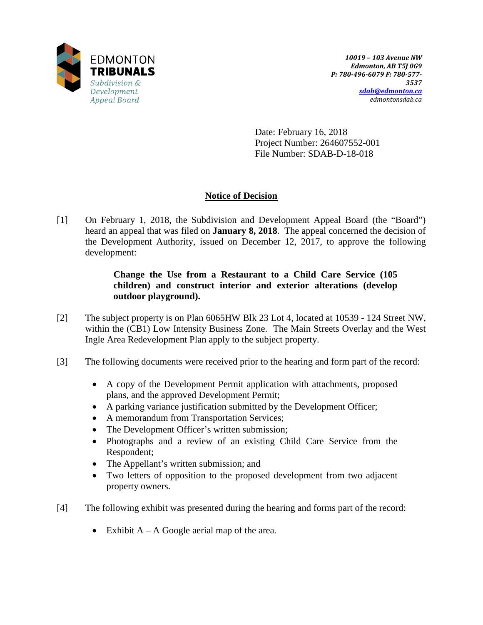

Date: February 16, 2018 Project Number: 264607552-001 File Number: SDAB-D-18-018

# **Notice of Decision**

[1] On February 1, 2018, the Subdivision and Development Appeal Board (the "Board") heard an appeal that was filed on **January 8, 2018**. The appeal concerned the decision of the Development Authority, issued on December 12, 2017, to approve the following development:

# **Change the Use from a Restaurant to a Child Care Service (105 children) and construct interior and exterior alterations (develop outdoor playground).**

- [2] The subject property is on Plan 6065HW Blk 23 Lot 4, located at 10539 124 Street NW, within the (CB1) Low Intensity Business Zone. The Main Streets Overlay and the West Ingle Area Redevelopment Plan apply to the subject property.
- [3] The following documents were received prior to the hearing and form part of the record:
	- A copy of the Development Permit application with attachments, proposed plans, and the approved Development Permit;
	- A parking variance justification submitted by the Development Officer;
	- A memorandum from Transportation Services;
	- The Development Officer's written submission;
	- Photographs and a review of an existing Child Care Service from the Respondent;
	- The Appellant's written submission; and
	- Two letters of opposition to the proposed development from two adjacent property owners.
- [4] The following exhibit was presented during the hearing and forms part of the record:
	- Exhibit  $A A$  Google aerial map of the area.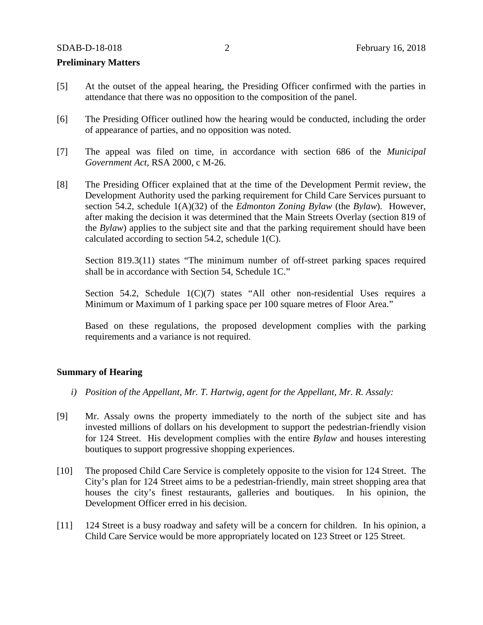### **Preliminary Matters**

- [5] At the outset of the appeal hearing, the Presiding Officer confirmed with the parties in attendance that there was no opposition to the composition of the panel.
- [6] The Presiding Officer outlined how the hearing would be conducted, including the order of appearance of parties, and no opposition was noted.
- [7] The appeal was filed on time, in accordance with section 686 of the *Municipal Government Act*, RSA 2000, c M-26.
- [8] The Presiding Officer explained that at the time of the Development Permit review, the Development Authority used the parking requirement for Child Care Services pursuant to section 54.2, schedule 1(A)(32) of the *Edmonton Zoning Bylaw* (the *Bylaw*). However, after making the decision it was determined that the Main Streets Overlay (section 819 of the *Bylaw*) applies to the subject site and that the parking requirement should have been calculated according to section 54.2, schedule 1(C).

Section 819.3(11) states "The minimum number of off-street parking spaces required shall be in accordance with Section 54, Schedule 1C."

Section 54.2, Schedule 1(C)(7) states "All other non-residential Uses requires a Minimum or Maximum of 1 parking space per 100 square metres of Floor Area."

Based on these regulations, the proposed development complies with the parking requirements and a variance is not required.

### **Summary of Hearing**

- *i) Position of the Appellant, Mr. T. Hartwig, agent for the Appellant, Mr. R. Assaly:*
- [9] Mr. Assaly owns the property immediately to the north of the subject site and has invested millions of dollars on his development to support the pedestrian-friendly vision for 124 Street. His development complies with the entire *Bylaw* and houses interesting boutiques to support progressive shopping experiences.
- [10] The proposed Child Care Service is completely opposite to the vision for 124 Street. The City's plan for 124 Street aims to be a pedestrian-friendly, main street shopping area that houses the city's finest restaurants, galleries and boutiques. In his opinion, the Development Officer erred in his decision.
- [11] 124 Street is a busy roadway and safety will be a concern for children. In his opinion, a Child Care Service would be more appropriately located on 123 Street or 125 Street.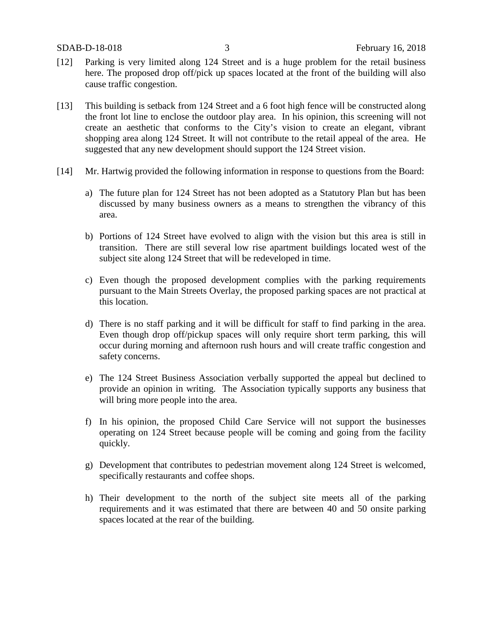- [12] Parking is very limited along 124 Street and is a huge problem for the retail business here. The proposed drop off/pick up spaces located at the front of the building will also cause traffic congestion.
- [13] This building is setback from 124 Street and a 6 foot high fence will be constructed along the front lot line to enclose the outdoor play area. In his opinion, this screening will not create an aesthetic that conforms to the City's vision to create an elegant, vibrant shopping area along 124 Street. It will not contribute to the retail appeal of the area. He suggested that any new development should support the 124 Street vision.
- [14] Mr. Hartwig provided the following information in response to questions from the Board:
	- a) The future plan for 124 Street has not been adopted as a Statutory Plan but has been discussed by many business owners as a means to strengthen the vibrancy of this area.
	- b) Portions of 124 Street have evolved to align with the vision but this area is still in transition. There are still several low rise apartment buildings located west of the subject site along 124 Street that will be redeveloped in time.
	- c) Even though the proposed development complies with the parking requirements pursuant to the Main Streets Overlay, the proposed parking spaces are not practical at this location.
	- d) There is no staff parking and it will be difficult for staff to find parking in the area. Even though drop off/pickup spaces will only require short term parking, this will occur during morning and afternoon rush hours and will create traffic congestion and safety concerns.
	- e) The 124 Street Business Association verbally supported the appeal but declined to provide an opinion in writing. The Association typically supports any business that will bring more people into the area.
	- f) In his opinion, the proposed Child Care Service will not support the businesses operating on 124 Street because people will be coming and going from the facility quickly.
	- g) Development that contributes to pedestrian movement along 124 Street is welcomed, specifically restaurants and coffee shops.
	- h) Their development to the north of the subject site meets all of the parking requirements and it was estimated that there are between 40 and 50 onsite parking spaces located at the rear of the building.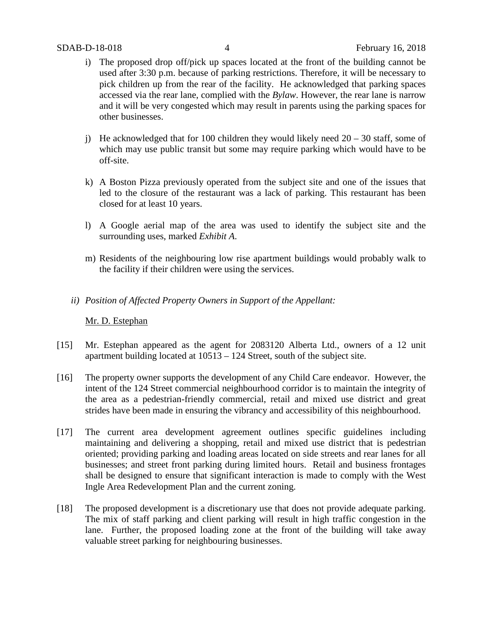- i) The proposed drop off/pick up spaces located at the front of the building cannot be used after 3:30 p.m. because of parking restrictions. Therefore, it will be necessary to pick children up from the rear of the facility. He acknowledged that parking spaces accessed via the rear lane, complied with the *Bylaw*. However, the rear lane is narrow and it will be very congested which may result in parents using the parking spaces for other businesses.
- j) He acknowledged that for 100 children they would likely need  $20 30$  staff, some of which may use public transit but some may require parking which would have to be off-site.
- k) A Boston Pizza previously operated from the subject site and one of the issues that led to the closure of the restaurant was a lack of parking. This restaurant has been closed for at least 10 years.
- l) A Google aerial map of the area was used to identify the subject site and the surrounding uses, marked *Exhibit A*.
- m) Residents of the neighbouring low rise apartment buildings would probably walk to the facility if their children were using the services.
- *ii) Position of Affected Property Owners in Support of the Appellant:*

## Mr. D. Estephan

- [15] Mr. Estephan appeared as the agent for 2083120 Alberta Ltd., owners of a 12 unit apartment building located at 10513 – 124 Street, south of the subject site.
- [16] The property owner supports the development of any Child Care endeavor. However, the intent of the 124 Street commercial neighbourhood corridor is to maintain the integrity of the area as a pedestrian-friendly commercial, retail and mixed use district and great strides have been made in ensuring the vibrancy and accessibility of this neighbourhood.
- [17] The current area development agreement outlines specific guidelines including maintaining and delivering a shopping, retail and mixed use district that is pedestrian oriented; providing parking and loading areas located on side streets and rear lanes for all businesses; and street front parking during limited hours. Retail and business frontages shall be designed to ensure that significant interaction is made to comply with the West Ingle Area Redevelopment Plan and the current zoning.
- [18] The proposed development is a discretionary use that does not provide adequate parking. The mix of staff parking and client parking will result in high traffic congestion in the lane. Further, the proposed loading zone at the front of the building will take away valuable street parking for neighbouring businesses.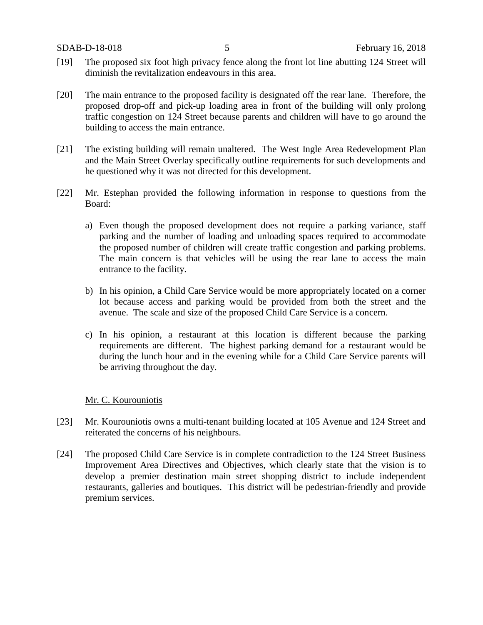- [19] The proposed six foot high privacy fence along the front lot line abutting 124 Street will diminish the revitalization endeavours in this area.
- [20] The main entrance to the proposed facility is designated off the rear lane. Therefore, the proposed drop-off and pick-up loading area in front of the building will only prolong traffic congestion on 124 Street because parents and children will have to go around the building to access the main entrance.
- [21] The existing building will remain unaltered. The West Ingle Area Redevelopment Plan and the Main Street Overlay specifically outline requirements for such developments and he questioned why it was not directed for this development.
- [22] Mr. Estephan provided the following information in response to questions from the Board:
	- a) Even though the proposed development does not require a parking variance, staff parking and the number of loading and unloading spaces required to accommodate the proposed number of children will create traffic congestion and parking problems. The main concern is that vehicles will be using the rear lane to access the main entrance to the facility.
	- b) In his opinion, a Child Care Service would be more appropriately located on a corner lot because access and parking would be provided from both the street and the avenue. The scale and size of the proposed Child Care Service is a concern.
	- c) In his opinion, a restaurant at this location is different because the parking requirements are different. The highest parking demand for a restaurant would be during the lunch hour and in the evening while for a Child Care Service parents will be arriving throughout the day.

## Mr. C. Kourouniotis

- [23] Mr. Kourouniotis owns a multi-tenant building located at 105 Avenue and 124 Street and reiterated the concerns of his neighbours.
- [24] The proposed Child Care Service is in complete contradiction to the 124 Street Business Improvement Area Directives and Objectives, which clearly state that the vision is to develop a premier destination main street shopping district to include independent restaurants, galleries and boutiques. This district will be pedestrian-friendly and provide premium services.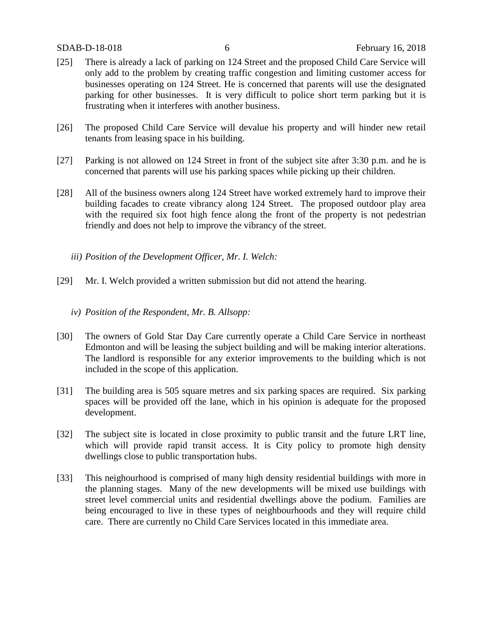- [25] There is already a lack of parking on 124 Street and the proposed Child Care Service will only add to the problem by creating traffic congestion and limiting customer access for businesses operating on 124 Street. He is concerned that parents will use the designated parking for other businesses. It is very difficult to police short term parking but it is frustrating when it interferes with another business.
- [26] The proposed Child Care Service will devalue his property and will hinder new retail tenants from leasing space in his building.
- [27] Parking is not allowed on 124 Street in front of the subject site after 3:30 p.m. and he is concerned that parents will use his parking spaces while picking up their children.
- [28] All of the business owners along 124 Street have worked extremely hard to improve their building facades to create vibrancy along 124 Street. The proposed outdoor play area with the required six foot high fence along the front of the property is not pedestrian friendly and does not help to improve the vibrancy of the street.
	- *iii) Position of the Development Officer, Mr. I. Welch:*
- [29] Mr. I. Welch provided a written submission but did not attend the hearing.
	- *iv) Position of the Respondent, Mr. B. Allsopp:*
- [30] The owners of Gold Star Day Care currently operate a Child Care Service in northeast Edmonton and will be leasing the subject building and will be making interior alterations. The landlord is responsible for any exterior improvements to the building which is not included in the scope of this application.
- [31] The building area is 505 square metres and six parking spaces are required. Six parking spaces will be provided off the lane, which in his opinion is adequate for the proposed development.
- [32] The subject site is located in close proximity to public transit and the future LRT line, which will provide rapid transit access. It is City policy to promote high density dwellings close to public transportation hubs.
- [33] This neighourhood is comprised of many high density residential buildings with more in the planning stages. Many of the new developments will be mixed use buildings with street level commercial units and residential dwellings above the podium. Families are being encouraged to live in these types of neighbourhoods and they will require child care. There are currently no Child Care Services located in this immediate area.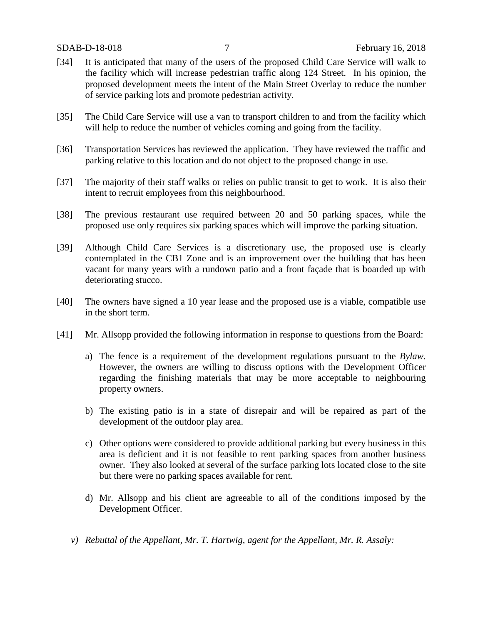- [34] It is anticipated that many of the users of the proposed Child Care Service will walk to the facility which will increase pedestrian traffic along 124 Street. In his opinion, the proposed development meets the intent of the Main Street Overlay to reduce the number of service parking lots and promote pedestrian activity.
- [35] The Child Care Service will use a van to transport children to and from the facility which will help to reduce the number of vehicles coming and going from the facility.
- [36] Transportation Services has reviewed the application. They have reviewed the traffic and parking relative to this location and do not object to the proposed change in use.
- [37] The majority of their staff walks or relies on public transit to get to work. It is also their intent to recruit employees from this neighbourhood.
- [38] The previous restaurant use required between 20 and 50 parking spaces, while the proposed use only requires six parking spaces which will improve the parking situation.
- [39] Although Child Care Services is a discretionary use, the proposed use is clearly contemplated in the CB1 Zone and is an improvement over the building that has been vacant for many years with a rundown patio and a front façade that is boarded up with deteriorating stucco.
- [40] The owners have signed a 10 year lease and the proposed use is a viable, compatible use in the short term.
- [41] Mr. Allsopp provided the following information in response to questions from the Board:
	- a) The fence is a requirement of the development regulations pursuant to the *Bylaw*. However, the owners are willing to discuss options with the Development Officer regarding the finishing materials that may be more acceptable to neighbouring property owners.
	- b) The existing patio is in a state of disrepair and will be repaired as part of the development of the outdoor play area.
	- c) Other options were considered to provide additional parking but every business in this area is deficient and it is not feasible to rent parking spaces from another business owner. They also looked at several of the surface parking lots located close to the site but there were no parking spaces available for rent.
	- d) Mr. Allsopp and his client are agreeable to all of the conditions imposed by the Development Officer.
	- *v) Rebuttal of the Appellant, Mr. T. Hartwig, agent for the Appellant, Mr. R. Assaly:*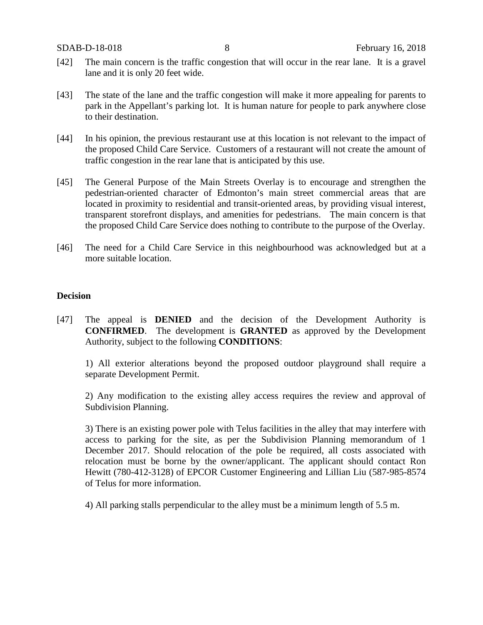- [42] The main concern is the traffic congestion that will occur in the rear lane. It is a gravel lane and it is only 20 feet wide.
- [43] The state of the lane and the traffic congestion will make it more appealing for parents to park in the Appellant's parking lot. It is human nature for people to park anywhere close to their destination.
- [44] In his opinion, the previous restaurant use at this location is not relevant to the impact of the proposed Child Care Service. Customers of a restaurant will not create the amount of traffic congestion in the rear lane that is anticipated by this use.
- [45] The General Purpose of the Main Streets Overlay is to encourage and strengthen the pedestrian-oriented character of Edmonton's main street commercial areas that are located in proximity to residential and transit-oriented areas, by providing visual interest, transparent storefront displays, and amenities for pedestrians. The main concern is that the proposed Child Care Service does nothing to contribute to the purpose of the Overlay.
- [46] The need for a Child Care Service in this neighbourhood was acknowledged but at a more suitable location.

### **Decision**

[47] The appeal is **DENIED** and the decision of the Development Authority is **CONFIRMED**. The development is **GRANTED** as approved by the Development Authority, subject to the following **CONDITIONS**:

1) All exterior alterations beyond the proposed outdoor playground shall require a separate Development Permit.

2) Any modification to the existing alley access requires the review and approval of Subdivision Planning.

3) There is an existing power pole with Telus facilities in the alley that may interfere with access to parking for the site, as per the Subdivision Planning memorandum of 1 December 2017. Should relocation of the pole be required, all costs associated with relocation must be borne by the owner/applicant. The applicant should contact Ron Hewitt (780-412-3128) of EPCOR Customer Engineering and Lillian Liu (587-985-8574 of Telus for more information.

4) All parking stalls perpendicular to the alley must be a minimum length of 5.5 m.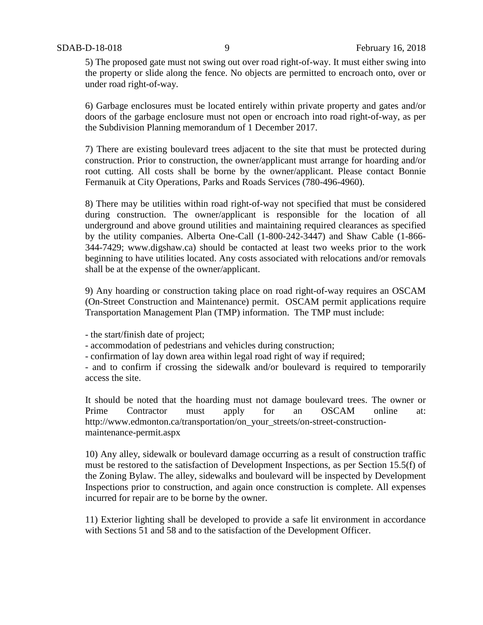5) The proposed gate must not swing out over road right-of-way. It must either swing into the property or slide along the fence. No objects are permitted to encroach onto, over or under road right-of-way.

6) Garbage enclosures must be located entirely within private property and gates and/or doors of the garbage enclosure must not open or encroach into road right-of-way, as per the Subdivision Planning memorandum of 1 December 2017.

7) There are existing boulevard trees adjacent to the site that must be protected during construction. Prior to construction, the owner/applicant must arrange for hoarding and/or root cutting. All costs shall be borne by the owner/applicant. Please contact Bonnie Fermanuik at City Operations, Parks and Roads Services (780-496-4960).

8) There may be utilities within road right-of-way not specified that must be considered during construction. The owner/applicant is responsible for the location of all underground and above ground utilities and maintaining required clearances as specified by the utility companies. Alberta One-Call (1-800-242-3447) and Shaw Cable (1-866- 344-7429; www.digshaw.ca) should be contacted at least two weeks prior to the work beginning to have utilities located. Any costs associated with relocations and/or removals shall be at the expense of the owner/applicant.

9) Any hoarding or construction taking place on road right-of-way requires an OSCAM (On-Street Construction and Maintenance) permit. OSCAM permit applications require Transportation Management Plan (TMP) information. The TMP must include:

- the start/finish date of project;

- accommodation of pedestrians and vehicles during construction;

- confirmation of lay down area within legal road right of way if required;

- and to confirm if crossing the sidewalk and/or boulevard is required to temporarily access the site.

It should be noted that the hoarding must not damage boulevard trees. The owner or Prime Contractor must apply for an OSCAM online at: http://www.edmonton.ca/transportation/on\_your\_streets/on-street-constructionmaintenance-permit.aspx

10) Any alley, sidewalk or boulevard damage occurring as a result of construction traffic must be restored to the satisfaction of Development Inspections, as per Section 15.5(f) of the Zoning Bylaw. The alley, sidewalks and boulevard will be inspected by Development Inspections prior to construction, and again once construction is complete. All expenses incurred for repair are to be borne by the owner.

11) Exterior lighting shall be developed to provide a safe lit environment in accordance with Sections 51 and 58 and to the satisfaction of the Development Officer.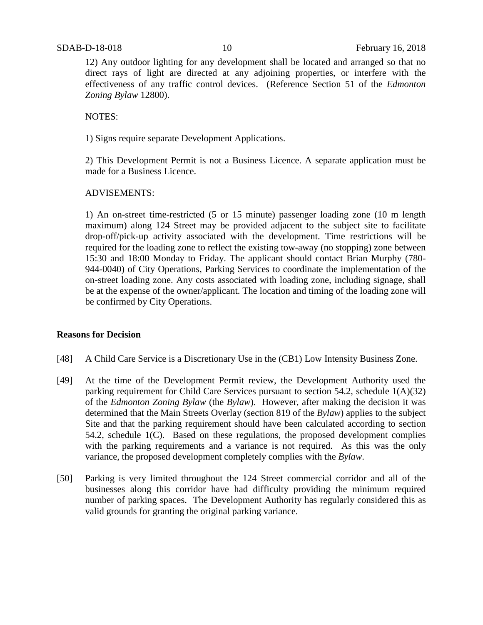12) Any outdoor lighting for any development shall be located and arranged so that no direct rays of light are directed at any adjoining properties, or interfere with the effectiveness of any traffic control devices. (Reference Section 51 of the *Edmonton Zoning Bylaw* 12800).

NOTES:

1) Signs require separate Development Applications.

2) This Development Permit is not a Business Licence. A separate application must be made for a Business Licence.

### ADVISEMENTS:

1) An on-street time-restricted (5 or 15 minute) passenger loading zone (10 m length maximum) along 124 Street may be provided adjacent to the subject site to facilitate drop-off/pick-up activity associated with the development. Time restrictions will be required for the loading zone to reflect the existing tow-away (no stopping) zone between 15:30 and 18:00 Monday to Friday. The applicant should contact Brian Murphy (780- 944-0040) of City Operations, Parking Services to coordinate the implementation of the on-street loading zone. Any costs associated with loading zone, including signage, shall be at the expense of the owner/applicant. The location and timing of the loading zone will be confirmed by City Operations.

### **Reasons for Decision**

- [48] A Child Care Service is a Discretionary Use in the (CB1) Low Intensity Business Zone.
- [49] At the time of the Development Permit review, the Development Authority used the parking requirement for Child Care Services pursuant to section 54.2, schedule 1(A)(32) of the *Edmonton Zoning Bylaw* (the *Bylaw*). However, after making the decision it was determined that the Main Streets Overlay (section 819 of the *Bylaw*) applies to the subject Site and that the parking requirement should have been calculated according to section 54.2, schedule 1(C). Based on these regulations, the proposed development complies with the parking requirements and a variance is not required. As this was the only variance, the proposed development completely complies with the *Bylaw*.
- [50] Parking is very limited throughout the 124 Street commercial corridor and all of the businesses along this corridor have had difficulty providing the minimum required number of parking spaces. The Development Authority has regularly considered this as valid grounds for granting the original parking variance.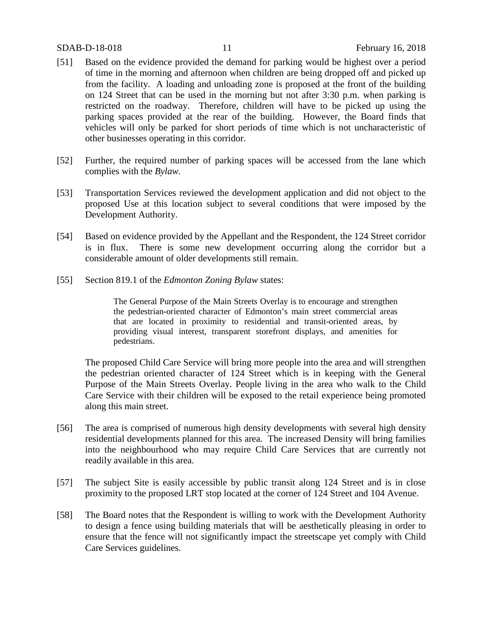- [51] Based on the evidence provided the demand for parking would be highest over a period of time in the morning and afternoon when children are being dropped off and picked up from the facility. A loading and unloading zone is proposed at the front of the building on 124 Street that can be used in the morning but not after 3:30 p.m. when parking is restricted on the roadway. Therefore, children will have to be picked up using the parking spaces provided at the rear of the building. However, the Board finds that vehicles will only be parked for short periods of time which is not uncharacteristic of other businesses operating in this corridor.
- [52] Further, the required number of parking spaces will be accessed from the lane which complies with the *Bylaw.*
- [53] Transportation Services reviewed the development application and did not object to the proposed Use at this location subject to several conditions that were imposed by the Development Authority.
- [54] Based on evidence provided by the Appellant and the Respondent, the 124 Street corridor is in flux. There is some new development occurring along the corridor but a considerable amount of older developments still remain.
- [55] Section 819.1 of the *Edmonton Zoning Bylaw* states:

The General Purpose of the Main Streets Overlay is to encourage and strengthen the pedestrian-oriented character of Edmonton's main street commercial areas that are located in proximity to residential and transit-oriented areas, by providing visual interest, transparent storefront displays, and amenities for pedestrians.

The proposed Child Care Service will bring more people into the area and will strengthen the pedestrian oriented character of 124 Street which is in keeping with the General Purpose of the Main Streets Overlay. People living in the area who walk to the Child Care Service with their children will be exposed to the retail experience being promoted along this main street.

- [56] The area is comprised of numerous high density developments with several high density residential developments planned for this area. The increased Density will bring families into the neighbourhood who may require Child Care Services that are currently not readily available in this area.
- [57] The subject Site is easily accessible by public transit along 124 Street and is in close proximity to the proposed LRT stop located at the corner of 124 Street and 104 Avenue.
- [58] The Board notes that the Respondent is willing to work with the Development Authority to design a fence using building materials that will be aesthetically pleasing in order to ensure that the fence will not significantly impact the streetscape yet comply with Child Care Services guidelines.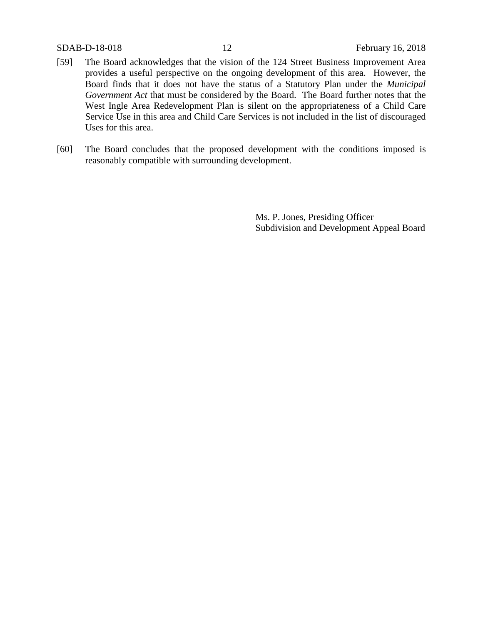- [59] The Board acknowledges that the vision of the 124 Street Business Improvement Area provides a useful perspective on the ongoing development of this area. However, the Board finds that it does not have the status of a Statutory Plan under the *Municipal Government Act* that must be considered by the Board. The Board further notes that the West Ingle Area Redevelopment Plan is silent on the appropriateness of a Child Care Service Use in this area and Child Care Services is not included in the list of discouraged Uses for this area.
- [60] The Board concludes that the proposed development with the conditions imposed is reasonably compatible with surrounding development.

Ms. P. Jones, Presiding Officer Subdivision and Development Appeal Board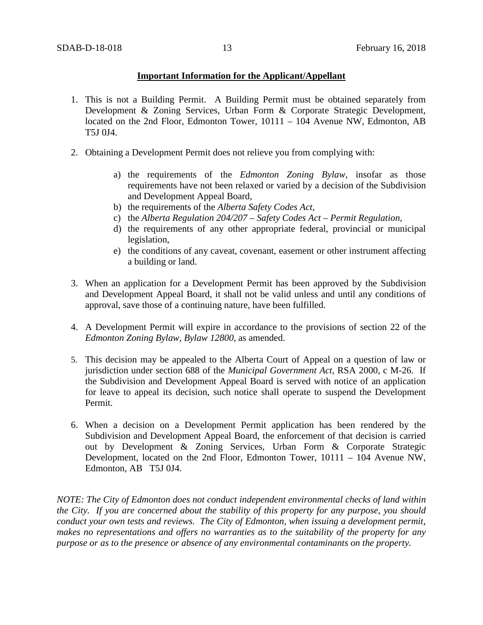## **Important Information for the Applicant/Appellant**

- 1. This is not a Building Permit. A Building Permit must be obtained separately from Development & Zoning Services, Urban Form & Corporate Strategic Development, located on the 2nd Floor, Edmonton Tower, 10111 – 104 Avenue NW, Edmonton, AB T5J 0J4.
- 2. Obtaining a Development Permit does not relieve you from complying with:
	- a) the requirements of the *Edmonton Zoning Bylaw*, insofar as those requirements have not been relaxed or varied by a decision of the Subdivision and Development Appeal Board,
	- b) the requirements of the *Alberta Safety Codes Act*,
	- c) the *Alberta Regulation 204/207 – Safety Codes Act – Permit Regulation*,
	- d) the requirements of any other appropriate federal, provincial or municipal legislation,
	- e) the conditions of any caveat, covenant, easement or other instrument affecting a building or land.
- 3. When an application for a Development Permit has been approved by the Subdivision and Development Appeal Board, it shall not be valid unless and until any conditions of approval, save those of a continuing nature, have been fulfilled.
- 4. A Development Permit will expire in accordance to the provisions of section 22 of the *Edmonton Zoning Bylaw, Bylaw 12800*, as amended.
- 5. This decision may be appealed to the Alberta Court of Appeal on a question of law or jurisdiction under section 688 of the *Municipal Government Act*, RSA 2000, c M-26. If the Subdivision and Development Appeal Board is served with notice of an application for leave to appeal its decision, such notice shall operate to suspend the Development Permit.
- 6. When a decision on a Development Permit application has been rendered by the Subdivision and Development Appeal Board, the enforcement of that decision is carried out by Development & Zoning Services, Urban Form & Corporate Strategic Development, located on the 2nd Floor, Edmonton Tower, 10111 – 104 Avenue NW, Edmonton, AB T5J 0J4.

*NOTE: The City of Edmonton does not conduct independent environmental checks of land within the City. If you are concerned about the stability of this property for any purpose, you should conduct your own tests and reviews. The City of Edmonton, when issuing a development permit, makes no representations and offers no warranties as to the suitability of the property for any purpose or as to the presence or absence of any environmental contaminants on the property.*